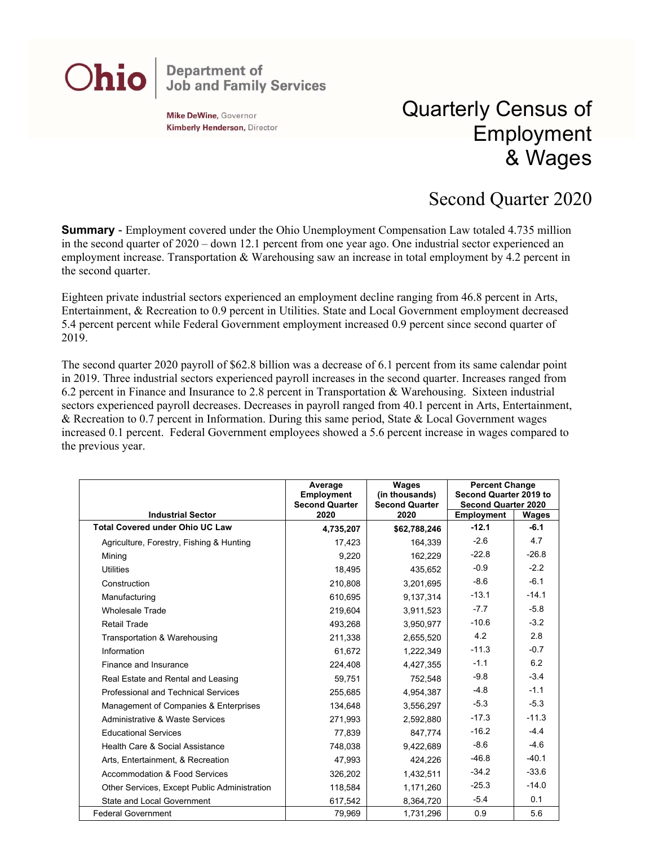## **Department of<br>Job and Family Services** Ohio

Mike DeWine, Governor **Kimberly Henderson, Director** 

## Quarterly Census of Employment & Wages

## Second Quarter 2020

**Summary** - Employment covered under the Ohio Unemployment Compensation Law totaled 4.735 million in the second quarter of 2020 – down 12.1 percent from one year ago. One industrial sector experienced an employment increase. Transportation & Warehousing saw an increase in total employment by 4.2 percent in the second quarter.

Eighteen private industrial sectors experienced an employment decline ranging from 46.8 percent in Arts, Entertainment, & Recreation to 0.9 percent in Utilities. State and Local Government employment decreased 5.4 percent percent while Federal Government employment increased 0.9 percent since second quarter of 2019.

The second quarter 2020 payroll of \$62.8 billion was a decrease of 6.1 percent from its same calendar point in 2019. Three industrial sectors experienced payroll increases in the second quarter. Increases ranged from 6.2 percent in Finance and Insurance to 2.8 percent in Transportation & Warehousing. Sixteen industrial sectors experienced payroll decreases. Decreases in payroll ranged from 40.1 percent in Arts, Entertainment, & Recreation to 0.7 percent in Information. During this same period, State & Local Government wages increased 0.1 percent. Federal Government employees showed a 5.6 percent increase in wages compared to the previous year.

|                                              | Average<br>Employment<br><b>Second Quarter</b> | <b>Wages</b><br>(in thousands)<br><b>Second Quarter</b> | <b>Percent Change</b><br>Second Quarter 2019 to<br><b>Second Quarter 2020</b> |         |
|----------------------------------------------|------------------------------------------------|---------------------------------------------------------|-------------------------------------------------------------------------------|---------|
| <b>Industrial Sector</b>                     | 2020                                           | 2020                                                    | Employment                                                                    | Wages   |
| <b>Total Covered under Ohio UC Law</b>       | 4,735,207                                      | \$62,788,246                                            | $-12.1$                                                                       | $-6.1$  |
| Agriculture, Forestry, Fishing & Hunting     | 17,423                                         | 164,339                                                 | $-2.6$                                                                        | 4.7     |
| Mining                                       | 9,220                                          | 162,229                                                 | $-22.8$                                                                       | $-26.8$ |
| <b>Utilities</b>                             | 18,495                                         | 435,652                                                 | $-0.9$                                                                        | $-2.2$  |
| Construction                                 | 210,808                                        | 3,201,695                                               | $-8.6$                                                                        | $-6.1$  |
| Manufacturing                                | 610.695                                        | 9,137,314                                               | $-13.1$                                                                       | $-14.1$ |
| <b>Wholesale Trade</b>                       | 219.604                                        | 3,911,523                                               | $-7.7$                                                                        | $-5.8$  |
| <b>Retail Trade</b>                          | 493,268                                        | 3,950,977                                               | $-10.6$                                                                       | $-3.2$  |
| Transportation & Warehousing                 | 211,338                                        | 2,655,520                                               | 4.2                                                                           | 2.8     |
| Information                                  | 61,672                                         | 1,222,349                                               | $-11.3$                                                                       | $-0.7$  |
| Finance and Insurance                        | 224,408                                        | 4,427,355                                               | $-1.1$                                                                        | 6.2     |
| Real Estate and Rental and Leasing           | 59,751                                         | 752,548                                                 | $-9.8$                                                                        | $-3.4$  |
| <b>Professional and Technical Services</b>   | 255,685                                        | 4,954,387                                               | $-4.8$                                                                        | $-1.1$  |
| Management of Companies & Enterprises        | 134,648                                        | 3,556,297                                               | $-5.3$                                                                        | $-5.3$  |
| Administrative & Waste Services              | 271,993                                        | 2,592,880                                               | $-17.3$                                                                       | $-11.3$ |
| <b>Educational Services</b>                  | 77.839                                         | 847.774                                                 | $-16.2$                                                                       | $-4.4$  |
| Health Care & Social Assistance              | 748,038                                        | 9,422,689                                               | $-8.6$                                                                        | $-4.6$  |
| Arts, Entertainment, & Recreation            | 47,993                                         | 424,226                                                 | $-46.8$                                                                       | $-40.1$ |
| <b>Accommodation &amp; Food Services</b>     | 326,202                                        | 1,432,511                                               | $-34.2$                                                                       | $-33.6$ |
| Other Services, Except Public Administration | 118,584                                        | 1,171,260                                               | $-25.3$                                                                       | $-14.0$ |
| <b>State and Local Government</b>            | 617,542                                        | 8,364,720                                               | $-5.4$                                                                        | 0.1     |
| <b>Federal Government</b>                    | 79,969                                         | 1,731,296                                               | 0.9                                                                           | 5.6     |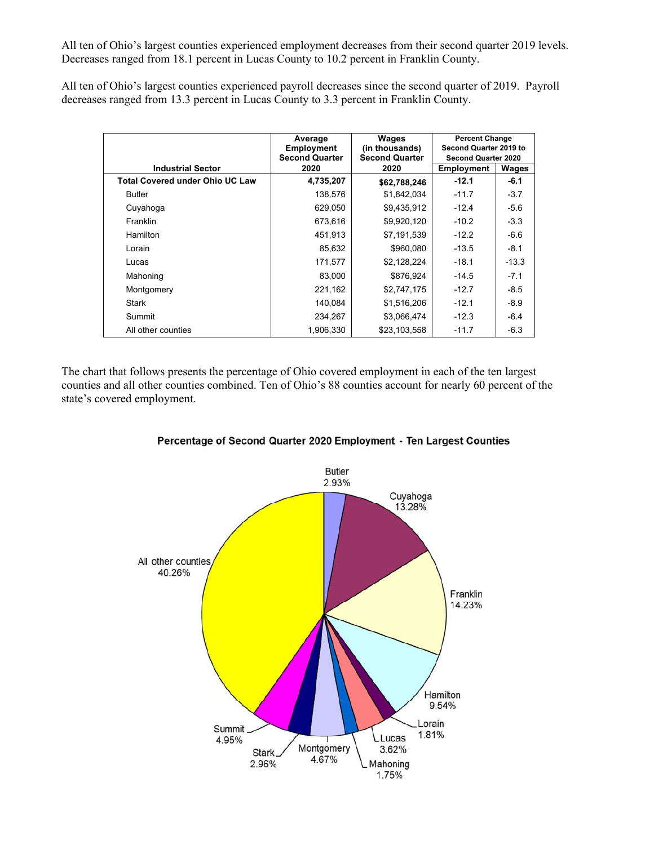All ten of Ohio's largest counties experienced employment decreases from their second quarter 2019 levels. Decreases ranged from 18.1 percent in Lucas County to 10.2 percent in Franklin County.

All ten of Ohio's largest counties experienced payroll decreases since the second quarter of 2019. Payroll decreases ranged from 13.3 percent in Lucas County to 3.3 percent in Franklin County.

|                                        | Average<br>Employment<br><b>Second Quarter</b> | Wages<br>(in thousands)<br><b>Second Quarter</b> | <b>Percent Change</b><br>Second Quarter 2019 to<br><b>Second Quarter 2020</b> |         |
|----------------------------------------|------------------------------------------------|--------------------------------------------------|-------------------------------------------------------------------------------|---------|
| <b>Industrial Sector</b>               | 2020                                           | 2020                                             | Employment                                                                    | Wages   |
| <b>Total Covered under Ohio UC Law</b> | 4,735,207                                      | \$62,788,246                                     | $-12.1$                                                                       | $-6.1$  |
| <b>Butler</b>                          | 138,576                                        | \$1,842,034                                      | $-11.7$                                                                       | $-3.7$  |
| Cuyahoga                               | 629,050                                        | \$9,435,912                                      | $-12.4$                                                                       | $-5.6$  |
| Franklin                               | 673,616                                        | \$9,920,120                                      | $-10.2$                                                                       | $-3.3$  |
| Hamilton                               | 451,913                                        | \$7,191,539                                      | $-12.2$                                                                       | $-6.6$  |
| Lorain                                 | 85,632                                         | \$960,080                                        | $-13.5$                                                                       | $-8.1$  |
| Lucas                                  | 171,577                                        | \$2,128,224                                      | $-18.1$                                                                       | $-13.3$ |
| Mahoning                               | 83,000                                         | \$876,924                                        | $-14.5$                                                                       | $-7.1$  |
| Montgomery                             | 221,162                                        | \$2,747,175                                      | $-12.7$                                                                       | $-8.5$  |
| Stark                                  | 140,084                                        | \$1,516,206                                      | $-12.1$                                                                       | $-8.9$  |
| Summit                                 | 234,267                                        | \$3,066,474                                      | $-12.3$                                                                       | $-6.4$  |
| All other counties                     | 1,906,330                                      | \$23,103,558                                     | $-11.7$                                                                       | $-6.3$  |

The chart that follows presents the percentage of Ohio covered employment in each of the ten largest counties and all other counties combined. Ten of Ohio's 88 counties account for nearly 60 percent of the state's covered employment.



Percentage of Second Quarter 2020 Employment - Ten Largest Counties